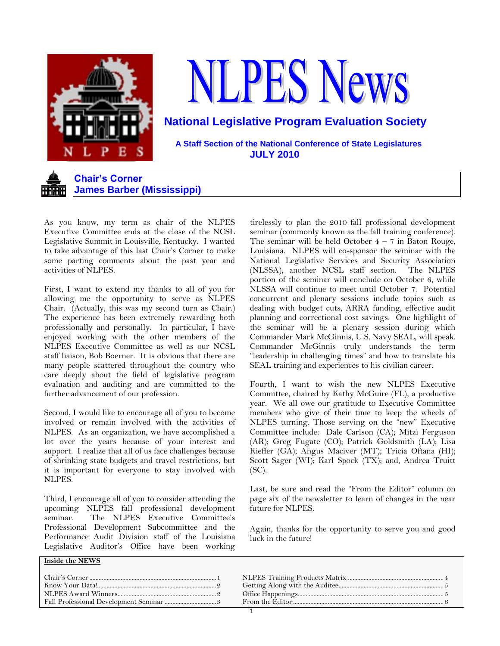

# **LPES News**

**National Legislative Program Evaluation Society**

 **A Staff Section of the National Conference of State Legislatures JULY 2010**



As you know, my term as chair of the NLPES Executive Committee ends at the close of the NCSL Legislative Summit in Louisville, Kentucky. I wanted to take advantage of this last Chair"s Corner to make some parting comments about the past year and activities of NLPES.

First, I want to extend my thanks to all of you for allowing me the opportunity to serve as NLPES Chair. (Actually, this was my second turn as Chair.) The experience has been extremely rewarding both professionally and personally. In particular, I have enjoyed working with the other members of the NLPES Executive Committee as well as our NCSL staff liaison, Bob Boerner. It is obvious that there are many people scattered throughout the country who care deeply about the field of legislative program evaluation and auditing and are committed to the further advancement of our profession.

Second, I would like to encourage all of you to become involved or remain involved with the activities of NLPES. As an organization, we have accomplished a lot over the years because of your interest and support. I realize that all of us face challenges because of shrinking state budgets and travel restrictions, but it is important for everyone to stay involved with NLPES.

Third, I encourage all of you to consider attending the upcoming NLPES fall professional development seminar. The NLPES Executive Committee's Professional Development Subcommittee and the Performance Audit Division staff of the Louisiana Legislative Auditor's Office have been working tirelessly to plan the 2010 fall professional development seminar (commonly known as the fall training conference). The seminar will be held October  $4 - 7$  in Baton Rouge, Louisiana. NLPES will co-sponsor the seminar with the National Legislative Services and Security Association (NLSSA), another NCSL staff section. The NLPES portion of the seminar will conclude on October 6, while NLSSA will continue to meet until October 7. Potential concurrent and plenary sessions include topics such as dealing with budget cuts, ARRA funding, effective audit planning and correctional cost savings. One highlight of the seminar will be a plenary session during which Commander Mark McGinnis, U.S. Navy SEAL, will speak. Commander McGinnis truly understands the term "leadership in challenging times" and how to translate his SEAL training and experiences to his civilian career.

Fourth, I want to wish the new NLPES Executive Committee, chaired by Kathy McGuire (FL), a productive year. We all owe our gratitude to Executive Committee members who give of their time to keep the wheels of NLPES turning. Those serving on the "new" Executive Committee include: Dale Carlson (CA); Mitzi Ferguson (AR); Greg Fugate (CO); Patrick Goldsmith (LA); Lisa Kieffer (GA); Angus Maciver (MT); Tricia Oftana (HI); Scott Sager (WI); Karl Spock (TX); and, Andrea Truitt (SC).

Last, be sure and read the "From the Editor" column on page six of the newsletter to learn of changes in the near future for NLPES.

Again, thanks for the opportunity to serve you and good luck in the future!

## **Inside the NEWS**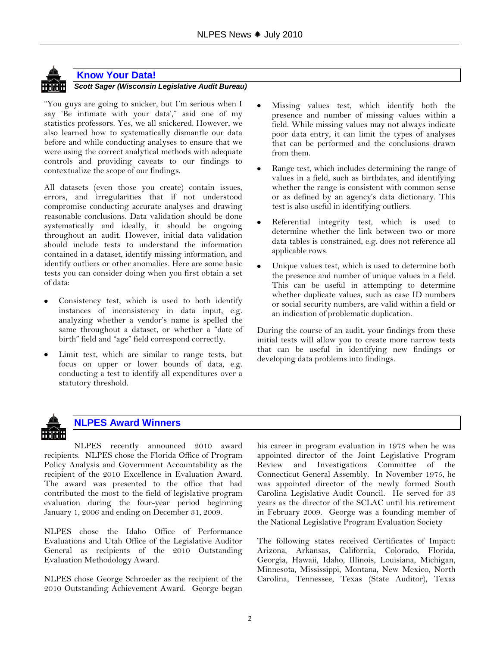

# **Know Your Data!**

*Scott Sager (Wisconsin Legislative Audit Bureau)*

"You guys are going to snicker, but I"m serious when I say 'Be intimate with your data'," said one of my statistics professors. Yes, we all snickered. However, we also learned how to systematically dismantle our data before and while conducting analyses to ensure that we were using the correct analytical methods with adequate controls and providing caveats to our findings to contextualize the scope of our findings.

All datasets (even those you create) contain issues, errors, and irregularities that if not understood compromise conducting accurate analyses and drawing reasonable conclusions. Data validation should be done systematically and ideally, it should be ongoing throughout an audit. However, initial data validation should include tests to understand the information contained in a dataset, identify missing information, and identify outliers or other anomalies. Here are some basic tests you can consider doing when you first obtain a set of data:

- Consistency test, which is used to both identify instances of inconsistency in data input, e.g. analyzing whether a vendor"s name is spelled the same throughout a dataset, or whether a "date of birth" field and "age" field correspond correctly.
- Limit test, which are similar to range tests, but focus on upper or lower bounds of data, e.g. conducting a test to identify all expenditures over a statutory threshold.
- Missing values test, which identify both the presence and number of missing values within a field. While missing values may not always indicate poor data entry, it can limit the types of analyses that can be performed and the conclusions drawn from them.
- Range test, which includes determining the range of values in a field, such as birthdates, and identifying whether the range is consistent with common sense or as defined by an agency's data dictionary. This test is also useful in identifying outliers.
- Referential integrity test, which is used to determine whether the link between two or more data tables is constrained, e.g. does not reference all applicable rows.
- Unique values test, which is used to determine both the presence and number of unique values in a field. This can be useful in attempting to determine whether duplicate values, such as case ID numbers or social security numbers, are valid within a field or an indication of problematic duplication.

During the course of an audit, your findings from these initial tests will allow you to create more narrow tests that can be useful in identifying new findings or developing data problems into findings.



# **NLPES Award Winners**

NLPES recently announced 2010 award recipients. NLPES chose the Florida Office of Program Policy Analysis and Government Accountability as the recipient of the 2010 Excellence in Evaluation Award. The award was presented to the office that had contributed the most to the field of legislative program evaluation during the four-year period beginning January 1, 2006 and ending on December 31, 2009.

NLPES chose the Idaho Office of Performance Evaluations and Utah Office of the Legislative Auditor General as recipients of the 2010 Outstanding Evaluation Methodology Award.

NLPES chose George Schroeder as the recipient of the 2010 Outstanding Achievement Award. George began his career in program evaluation in 1973 when he was appointed director of the Joint Legislative Program Review and Investigations Committee of the Connecticut General Assembly. In November 1975, he was appointed director of the newly formed South Carolina Legislative Audit Council. He served for 33 years as the director of the SCLAC until his retirement in February 2009. George was a founding member of the National Legislative Program Evaluation Society

The following states received Certificates of Impact: Arizona, Arkansas, California, Colorado, Florida, Georgia, Hawaii, Idaho, Illinois, Louisiana, Michigan, Minnesota, Mississippi, Montana, New Mexico, North Carolina, Tennessee, Texas (State Auditor), Texas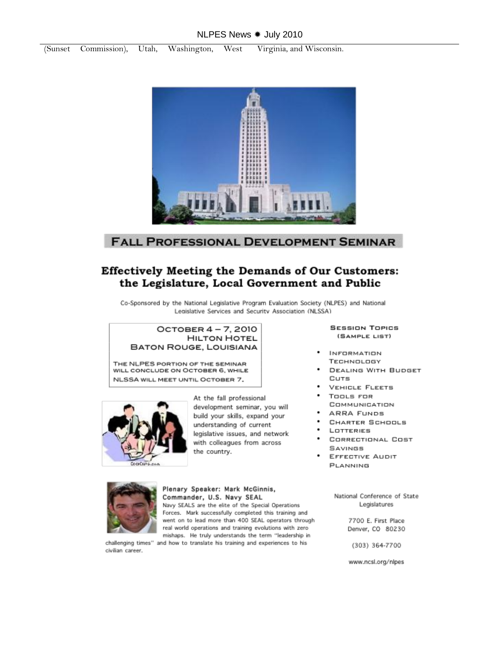## NLPES News \* July 2010



# **FALL PROFESSIONAL DEVELOPMENT SEMINAR**

# **Effectively Meeting the Demands of Our Customers:** the Legislature, Local Government and Public

Co-Sponsored by the National Legislative Program Evaluation Society (NLPES) and National Legislative Services and Security Association (NLSSA)

## OCTOBER 4-7, 2010 **HILTON HOTEL BATON ROUGE, LOUISIANA**

THE NLPES PORTION OF THE SEMINAR WILL CONCLUDE ON OCTOBER 6, WHILE NLSSA WILL MEET UNTIL OCTOBER 7.



At the fall professional development seminar, you will build your skills, expand your understanding of current legislative issues, and network with colleagues from across the country.

## **SESSION TOPICS** (SAMPLE LIST)

- **INFORMATION** TECHNOLOGY
- **DEALING WITH BUDGET** Cuts
- **VEHICLE FLEETS**
- TOOLS FOR
- COMMUNICATION
- ARRA FUNDS
- CHARTER SCHOOLS
- LOTTERIES
- CORRECTIONAL COST SAVINGS
- **EFFECTIVE AUDIT** PLANNING



Plenary Speaker: Mark McGinnis, Commander, U.S. Navy SEAL

Navy SEALS are the elite of the Special Operations Forces. Mark successfully completed this training and went on to lead more than 400 SEAL operators through real world operations and training evolutions with zero mishaps. He truly understands the term "leadership in

challenging times" and how to translate his training and experiences to his civilian career.

National Conference of State Legislatures

> 7700 E. First Place Denver, CO 80230

(303) 364-7700

www.ncsl.org/nlpes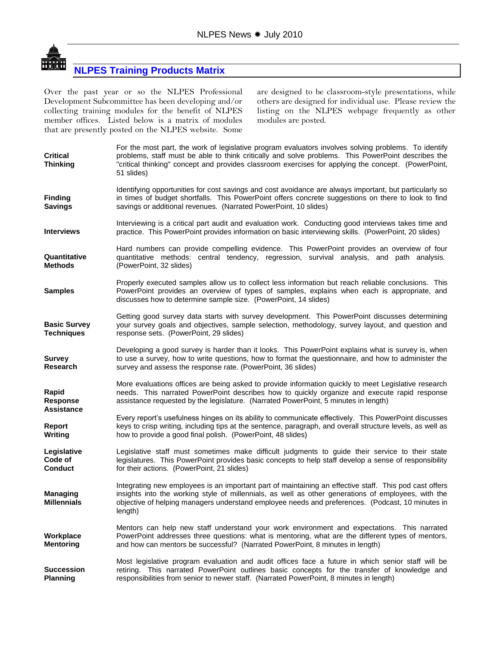

# **NLPES Training Products Matrix**

Over the past year or so the NLPES Professional Development Subcommittee has been developing and/or collecting training modules for the benefit of NLPES member offices. Listed below is a matrix of modules that are presently posted on the NLPES website. Some

are designed to be classroom-style presentations, while others are designed for individual use. Please review the listing on the NLPES webpage frequently as other modules are posted.

| <b>Critical</b><br>Thinking              | For the most part, the work of legislative program evaluators involves solving problems. To identify<br>problems, staff must be able to think critically and solve problems. This PowerPoint describes the<br>"critical thinking" concept and provides classroom exercises for applying the concept. (PowerPoint,<br>51 slides) |
|------------------------------------------|---------------------------------------------------------------------------------------------------------------------------------------------------------------------------------------------------------------------------------------------------------------------------------------------------------------------------------|
| <b>Finding</b><br><b>Savings</b>         | Identifying opportunities for cost savings and cost avoidance are always important, but particularly so<br>in times of budget shortfalls. This PowerPoint offers concrete suggestions on there to look to find<br>savings or additional revenues. (Narrated PowerPoint, 10 slides)                                              |
| <b>Interviews</b>                        | Interviewing is a critical part audit and evaluation work. Conducting good interviews takes time and<br>practice. This PowerPoint provides information on basic interviewing skills. (PowerPoint, 20 slides)                                                                                                                    |
| Quantitative<br><b>Methods</b>           | Hard numbers can provide compelling evidence. This PowerPoint provides an overview of four<br>quantitative methods: central tendency, regression, survival analysis, and path analysis.<br>(PowerPoint, 32 slides)                                                                                                              |
| <b>Samples</b>                           | Properly executed samples allow us to collect less information but reach reliable conclusions. This<br>PowerPoint provides an overview of types of samples, explains when each is appropriate, and<br>discusses how to determine sample size. (PowerPoint, 14 slides)                                                           |
| <b>Basic Survey</b><br><b>Techniques</b> | Getting good survey data starts with survey development. This PowerPoint discusses determining<br>your survey goals and objectives, sample selection, methodology, survey layout, and question and<br>response sets. (PowerPoint, 29 slides)                                                                                    |
| <b>Survey</b><br><b>Research</b>         | Developing a good survey is harder than it looks. This PowerPoint explains what is survey is, when<br>to use a survey, how to write questions, how to format the questionnaire, and how to administer the<br>survey and assess the response rate. (PowerPoint, 36 slides)                                                       |
| Rapid<br>Response                        | More evaluations offices are being asked to provide information quickly to meet Legislative research<br>needs. This narrated PowerPoint describes how to quickly organize and execute rapid response<br>assistance requested by the legislature. (Narrated PowerPoint, 5 minutes in length)                                     |
| Assistance<br>Report<br>Writing          | Every report's usefulness hinges on its ability to communicate effectively. This PowerPoint discusses<br>keys to crisp writing, including tips at the sentence, paragraph, and overall structure levels, as well as<br>how to provide a good final polish. (PowerPoint, 48 slides)                                              |
| Legislative<br>Code of<br><b>Conduct</b> | Legislative staff must sometimes make difficult judgments to guide their service to their state<br>legislatures. This PowerPoint provides basic concepts to help staff develop a sense of responsibility<br>for their actions. (PowerPoint, 21 slides)                                                                          |
| Managing<br><b>Millennials</b>           | Integrating new employees is an important part of maintaining an effective staff. This pod cast offers<br>insights into the working style of millennials, as well as other generations of employees, with the<br>objective of helping managers understand employee needs and preferences. (Podcast, 10 minutes in<br>length)    |
| Workplace<br><b>Mentoring</b>            | Mentors can help new staff understand your work environment and expectations. This narrated<br>PowerPoint addresses three questions: what is mentoring, what are the different types of mentors,<br>and how can mentors be successful? (Narrated PowerPoint, 8 minutes in length)                                               |
| <b>Succession</b><br><b>Planning</b>     | Most legislative program evaluation and audit offices face a future in which senior staff will be<br>retiring. This narrated PowerPoint outlines basic concepts for the transfer of knowledge and<br>responsibilities from senior to newer staff. (Narrated PowerPoint, 8 minutes in length)                                    |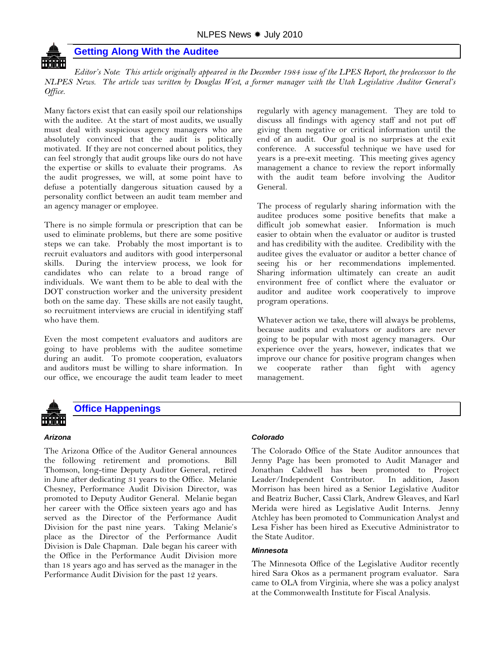

## **Getting Along With the Auditee**

*Editor's Note: This article originally appeared in the December 1984 issue of the LPES Report, the predecessor to the NLPES News. The article was written by Douglas West, a former manager with the Utah Legislative Auditor General's Office.*

Many factors exist that can easily spoil our relationships with the auditee. At the start of most audits, we usually must deal with suspicious agency managers who are absolutely convinced that the audit is politically motivated. If they are not concerned about politics, they can feel strongly that audit groups like ours do not have the expertise or skills to evaluate their programs. As the audit progresses, we will, at some point have to defuse a potentially dangerous situation caused by a personality conflict between an audit team member and an agency manager or employee.

There is no simple formula or prescription that can be used to eliminate problems, but there are some positive steps we can take. Probably the most important is to recruit evaluators and auditors with good interpersonal skills. During the interview process, we look for candidates who can relate to a broad range of individuals. We want them to be able to deal with the DOT construction worker and the university president both on the same day. These skills are not easily taught, so recruitment interviews are crucial in identifying staff who have them.

Even the most competent evaluators and auditors are going to have problems with the auditee sometime during an audit. To promote cooperation, evaluators and auditors must be willing to share information. In our office, we encourage the audit team leader to meet

regularly with agency management. They are told to discuss all findings with agency staff and not put off giving them negative or critical information until the end of an audit. Our goal is no surprises at the exit conference. A successful technique we have used for years is a pre-exit meeting. This meeting gives agency management a chance to review the report informally with the audit team before involving the Auditor General.

The process of regularly sharing information with the auditee produces some positive benefits that make a difficult job somewhat easier. Information is much easier to obtain when the evaluator or auditor is trusted and has credibility with the auditee. Credibility with the auditee gives the evaluator or auditor a better chance of seeing his or her recommendations implemented. Sharing information ultimately can create an audit environment free of conflict where the evaluator or auditor and auditee work cooperatively to improve program operations.

Whatever action we take, there will always be problems, because audits and evaluators or auditors are never going to be popular with most agency managers. Our experience over the years, however, indicates that we improve our chance for positive program changes when we cooperate rather than fight with agency management.



# **Office Happenings**

## *Arizona*

The Arizona Office of the Auditor General announces the following retirement and promotions. Bill Thomson, long-time Deputy Auditor General, retired in June after dedicating 31 years to the Office. Melanie Chesney, Performance Audit Division Director, was promoted to Deputy Auditor General. Melanie began her career with the Office sixteen years ago and has served as the Director of the Performance Audit Division for the past nine years. Taking Melanie's place as the Director of the Performance Audit Division is Dale Chapman. Dale began his career with the Office in the Performance Audit Division more than 18 years ago and has served as the manager in the Performance Audit Division for the past 12 years.

## *Colorado*

The Colorado Office of the State Auditor announces that Jenny Page has been promoted to Audit Manager and Jonathan Caldwell has been promoted to Project Leader/Independent Contributor. In addition, Jason Morrison has been hired as a Senior Legislative Auditor and Beatriz Bucher, Cassi Clark, Andrew Gleaves, and Karl Merida were hired as Legislative Audit Interns. Jenny Atchley has been promoted to Communication Analyst and Lesa Fisher has been hired as Executive Administrator to the State Auditor.

## *Minnesota*

The Minnesota Office of the Legislative Auditor recently hired Sara Okos as a permanent program evaluator. Sara came to OLA from Virginia, where she was a policy analyst at the Commonwealth Institute for Fiscal Analysis.